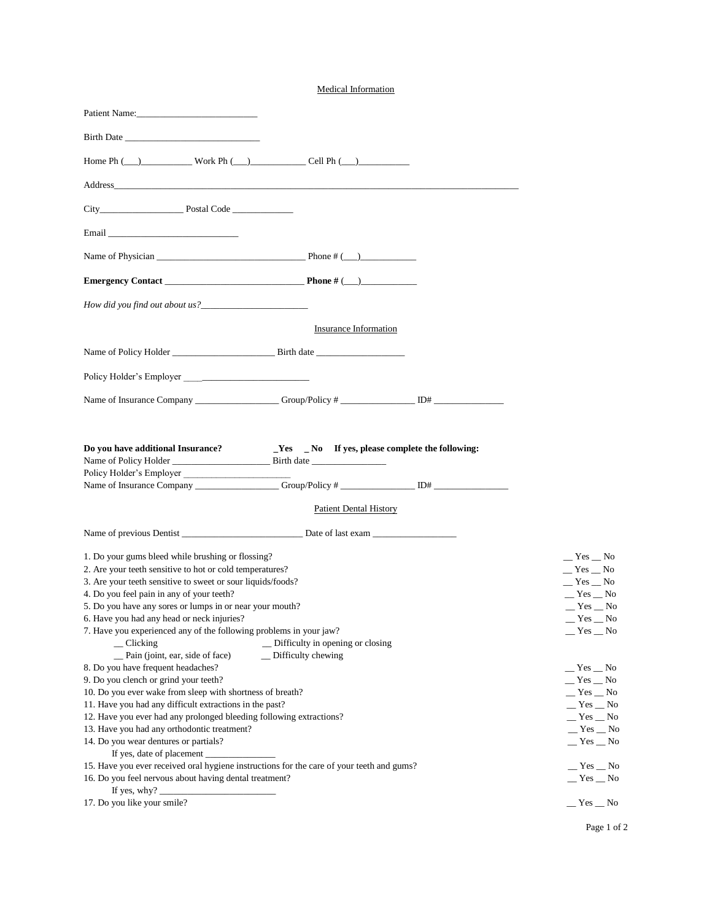| <b>Medical Information</b>                                                                                                                                                                                                                                                                                                                                                                                                                                       |                                                                                            |
|------------------------------------------------------------------------------------------------------------------------------------------------------------------------------------------------------------------------------------------------------------------------------------------------------------------------------------------------------------------------------------------------------------------------------------------------------------------|--------------------------------------------------------------------------------------------|
| Patient Name:                                                                                                                                                                                                                                                                                                                                                                                                                                                    |                                                                                            |
|                                                                                                                                                                                                                                                                                                                                                                                                                                                                  |                                                                                            |
| Home Ph $(\_)$ Work Ph $(\_)$ Cell Ph $(\_)$                                                                                                                                                                                                                                                                                                                                                                                                                     |                                                                                            |
|                                                                                                                                                                                                                                                                                                                                                                                                                                                                  |                                                                                            |
|                                                                                                                                                                                                                                                                                                                                                                                                                                                                  |                                                                                            |
|                                                                                                                                                                                                                                                                                                                                                                                                                                                                  |                                                                                            |
|                                                                                                                                                                                                                                                                                                                                                                                                                                                                  |                                                                                            |
|                                                                                                                                                                                                                                                                                                                                                                                                                                                                  |                                                                                            |
|                                                                                                                                                                                                                                                                                                                                                                                                                                                                  |                                                                                            |
| Insurance Information                                                                                                                                                                                                                                                                                                                                                                                                                                            |                                                                                            |
|                                                                                                                                                                                                                                                                                                                                                                                                                                                                  |                                                                                            |
|                                                                                                                                                                                                                                                                                                                                                                                                                                                                  |                                                                                            |
|                                                                                                                                                                                                                                                                                                                                                                                                                                                                  |                                                                                            |
|                                                                                                                                                                                                                                                                                                                                                                                                                                                                  |                                                                                            |
| Do you have additional Insurance?<br>$\text{Yes}$ $\text{No}$ If yes, please complete the following:<br>Policy Holder's Employer                                                                                                                                                                                                                                                                                                                                 |                                                                                            |
| <b>Patient Dental History</b>                                                                                                                                                                                                                                                                                                                                                                                                                                    |                                                                                            |
|                                                                                                                                                                                                                                                                                                                                                                                                                                                                  |                                                                                            |
| 1. Do your gums bleed while brushing or flossing?<br>2. Are your teeth sensitive to hot or cold temperatures?<br>3. Are your teeth sensitive to sweet or sour liquids/foods?<br>4. Do you feel pain in any of your teeth?<br>5. Do you have any sores or lumps in or near your mouth?<br>6. Have you had any head or neck injuries?<br>7. Have you experienced any of the following problems in your jaw?<br>_ Difficulty in opening or closing<br>$\_$ Clicking | __ Yes __ No<br>$Yes$ No<br>$Yes$ No<br>$-$ Yes $-$ No<br>$Yes$ No<br>$Yes$ No<br>$Yes$ No |
| _Pain (joint, ear, side of face)<br>$\Box$ Difficulty chewing<br>8. Do you have frequent headaches?<br>9. Do you clench or grind your teeth?<br>10. Do you ever wake from sleep with shortness of breath?<br>11. Have you had any difficult extractions in the past?                                                                                                                                                                                             | $-$ Yes $-$ No<br>$Yes$ No<br>$Yes$ No<br>$Yes$ No<br>$Yes$ No<br>$Yes$ No                 |

Page 1 of 2